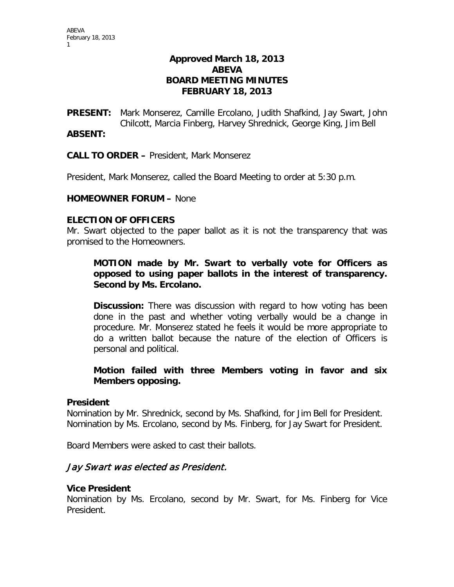# **Approved March 18, 2013 ABEVA BOARD MEETING MINUTES FEBRUARY 18, 2013**

**PRESENT:** Mark Monserez, Camille Ercolano, Judith Shafkind, Jay Swart, John Chilcott, Marcia Finberg, Harvey Shrednick, George King, Jim Bell

### **ABSENT:**

**CALL TO ORDER –** President, Mark Monserez

President, Mark Monserez, called the Board Meeting to order at 5:30 p.m.

### **HOMEOWNER FORUM –** None

### **ELECTION OF OFFICERS**

Mr. Swart objected to the paper ballot as it is not the transparency that was promised to the Homeowners.

# **MOTION made by Mr. Swart to verbally vote for Officers as opposed to using paper ballots in the interest of transparency. Second by Ms. Ercolano.**

**Discussion:** There was discussion with regard to how voting has been done in the past and whether voting verbally would be a change in procedure. Mr. Monserez stated he feels it would be more appropriate to do a written ballot because the nature of the election of Officers is personal and political.

# **Motion failed with three Members voting in favor and six Members opposing.**

### **President**

Nomination by Mr. Shrednick, second by Ms. Shafkind, for Jim Bell for President. Nomination by Ms. Ercolano, second by Ms. Finberg, for Jay Swart for President.

Board Members were asked to cast their ballots.

# Jay Swart was elected as President.

### **Vice President**

Nomination by Ms. Ercolano, second by Mr. Swart, for Ms. Finberg for Vice President.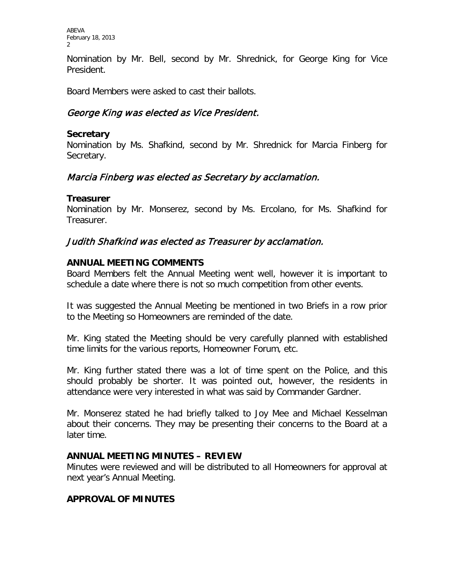ABEVA February 18, 2013 2

Nomination by Mr. Bell, second by Mr. Shrednick, for George King for Vice President.

Board Members were asked to cast their ballots.

# George King was elected as Vice President.

### **Secretary**

Nomination by Ms. Shafkind, second by Mr. Shrednick for Marcia Finberg for Secretary.

# Marcia Finberg was elected as Secretary by acclamation.

# **Treasurer**

Nomination by Mr. Monserez, second by Ms. Ercolano, for Ms. Shafkind for Treasurer.

# Judith Shafkind was elected as Treasurer by acclamation.

# **ANNUAL MEETING COMMENTS**

Board Members felt the Annual Meeting went well, however it is important to schedule a date where there is not so much competition from other events.

It was suggested the Annual Meeting be mentioned in two Briefs in a row prior to the Meeting so Homeowners are reminded of the date.

Mr. King stated the Meeting should be very carefully planned with established time limits for the various reports, Homeowner Forum, etc.

Mr. King further stated there was a lot of time spent on the Police, and this should probably be shorter. It was pointed out, however, the residents in attendance were very interested in what was said by Commander Gardner.

Mr. Monserez stated he had briefly talked to Joy Mee and Michael Kesselman about their concerns. They may be presenting their concerns to the Board at a later time.

# **ANNUAL MEETING MINUTES – REVIEW**

Minutes were reviewed and will be distributed to all Homeowners for approval at next year's Annual Meeting.

# **APPROVAL OF MINUTES**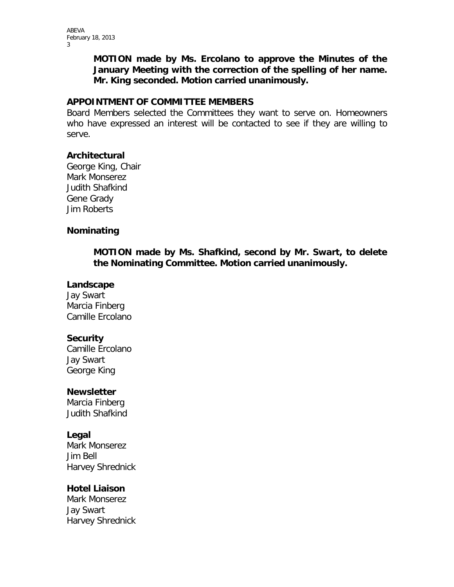ABEVA February 18, 2013 3

> **MOTION made by Ms. Ercolano to approve the Minutes of the January Meeting with the correction of the spelling of her name. Mr. King seconded. Motion carried unanimously.**

#### **APPOINTMENT OF COMMITTEE MEMBERS**

Board Members selected the Committees they want to serve on. Homeowners who have expressed an interest will be contacted to see if they are willing to serve.

### **Architectural**

George King, Chair Mark Monserez Judith Shafkind Gene Grady Jim Roberts

### **Nominating**

**MOTION made by Ms. Shafkind, second by Mr. Swart, to delete the Nominating Committee. Motion carried unanimously.**

#### **Landscape**

Jay Swart Marcia Finberg Camille Ercolano

### **Security**

Camille Ercolano Jay Swart George King

### **Newsletter**

Marcia Finberg Judith Shafkind

### **Legal**

Mark Monserez Jim Bell Harvey Shrednick

### **Hotel Liaison**

Mark Monserez Jay Swart Harvey Shrednick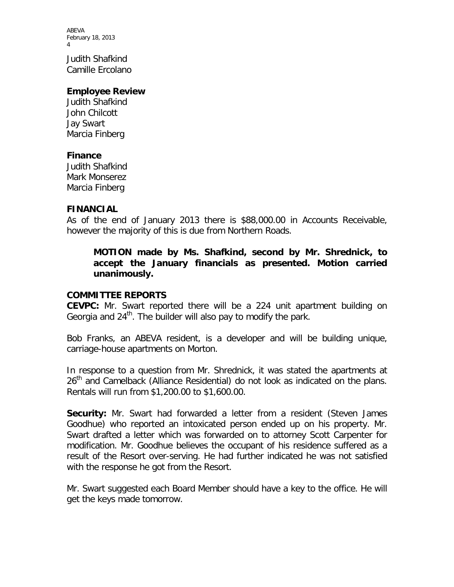ABEVA February 18, 2013 4

Judith Shafkind Camille Ercolano

#### **Employee Review**

Judith Shafkind John Chilcott Jay Swart Marcia Finberg

#### **Finance**

Judith Shafkind Mark Monserez Marcia Finberg

#### **FINANCIAL**

As of the end of January 2013 there is \$88,000.00 in Accounts Receivable, however the majority of this is due from Northern Roads.

### **MOTION made by Ms. Shafkind, second by Mr. Shrednick, to accept the January financials as presented. Motion carried unanimously.**

#### **COMMITTEE REPORTS**

**CEVPC:** Mr. Swart reported there will be a 224 unit apartment building on Georgia and  $24<sup>th</sup>$ . The builder will also pay to modify the park.

Bob Franks, an ABEVA resident, is a developer and will be building unique, carriage-house apartments on Morton.

In response to a question from Mr. Shrednick, it was stated the apartments at 26<sup>th</sup> and Camelback (Alliance Residential) do not look as indicated on the plans. Rentals will run from \$1,200.00 to \$1,600.00.

**Security:** Mr. Swart had forwarded a letter from a resident (Steven James Goodhue) who reported an intoxicated person ended up on his property. Mr. Swart drafted a letter which was forwarded on to attorney Scott Carpenter for modification. Mr. Goodhue believes the occupant of his residence suffered as a result of the Resort over-serving. He had further indicated he was not satisfied with the response he got from the Resort.

Mr. Swart suggested each Board Member should have a key to the office. He will get the keys made tomorrow.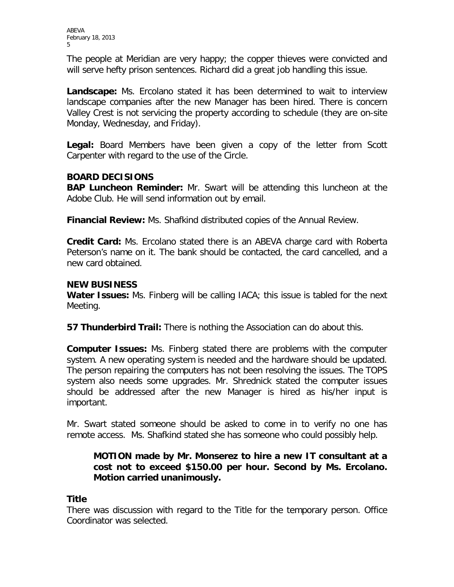The people at Meridian are very happy; the copper thieves were convicted and will serve hefty prison sentences. Richard did a great job handling this issue.

**Landscape:** Ms. Ercolano stated it has been determined to wait to interview landscape companies after the new Manager has been hired. There is concern Valley Crest is not servicing the property according to schedule (they are on-site Monday, Wednesday, and Friday).

Legal: Board Members have been given a copy of the letter from Scott Carpenter with regard to the use of the Circle.

# **BOARD DECISIONS**

**BAP Luncheon Reminder:** Mr. Swart will be attending this luncheon at the Adobe Club. He will send information out by email.

**Financial Review:** Ms. Shafkind distributed copies of the Annual Review.

**Credit Card:** Ms. Ercolano stated there is an ABEVA charge card with Roberta Peterson's name on it. The bank should be contacted, the card cancelled, and a new card obtained.

# **NEW BUSINESS**

**Water Issues:** Ms. Finberg will be calling IACA; this issue is tabled for the next Meeting.

**57 Thunderbird Trail:** There is nothing the Association can do about this.

**Computer Issues:** Ms. Finberg stated there are problems with the computer system. A new operating system is needed and the hardware should be updated. The person repairing the computers has not been resolving the issues. The TOPS system also needs some upgrades. Mr. Shrednick stated the computer issues should be addressed after the new Manager is hired as his/her input is important.

Mr. Swart stated someone should be asked to come in to verify no one has remote access. Ms. Shafkind stated she has someone who could possibly help.

# **MOTION made by Mr. Monserez to hire a new IT consultant at a cost not to exceed \$150.00 per hour. Second by Ms. Ercolano. Motion carried unanimously.**

# **Title**

There was discussion with regard to the Title for the temporary person. Office Coordinator was selected.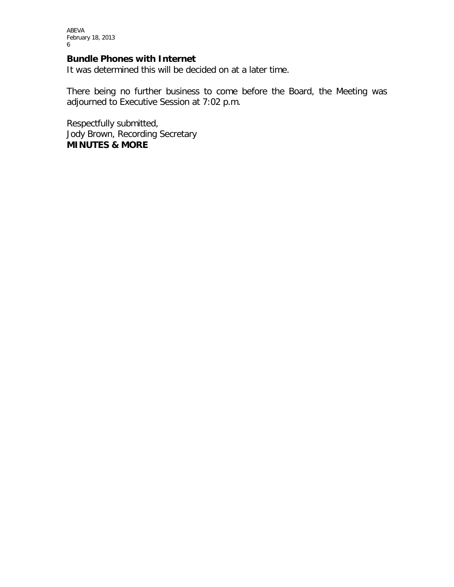#### **Bundle Phones with Internet**

It was determined this will be decided on at a later time.

There being no further business to come before the Board, the Meeting was adjourned to Executive Session at 7:02 p.m.

Respectfully submitted, Jody Brown, Recording Secretary **MINUTES & MORE**